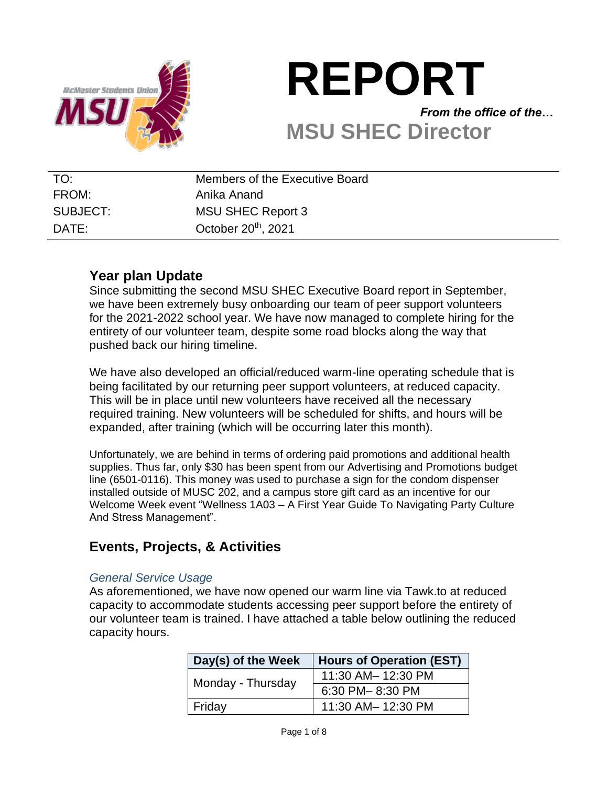

# **REPORT** *From the office of the…* **MSU SHEC Director**

| TO:      | Members of the Executive Board |
|----------|--------------------------------|
| FROM:    | Anika Anand                    |
| SUBJECT: | MSU SHEC Report 3              |
| DATE:    | October $20th$ , 2021          |

# **Year plan Update**

Since submitting the second MSU SHEC Executive Board report in September, we have been extremely busy onboarding our team of peer support volunteers for the 2021-2022 school year. We have now managed to complete hiring for the entirety of our volunteer team, despite some road blocks along the way that pushed back our hiring timeline.

We have also developed an official/reduced warm-line operating schedule that is being facilitated by our returning peer support volunteers, at reduced capacity. This will be in place until new volunteers have received all the necessary required training. New volunteers will be scheduled for shifts, and hours will be expanded, after training (which will be occurring later this month).

Unfortunately, we are behind in terms of ordering paid promotions and additional health supplies. Thus far, only \$30 has been spent from our Advertising and Promotions budget line (6501-0116). This money was used to purchase a sign for the condom dispenser installed outside of MUSC 202, and a campus store gift card as an incentive for our Welcome Week event "Wellness 1A03 – A First Year Guide To Navigating Party Culture And Stress Management".

# **Events, Projects, & Activities**

#### *General Service Usage*

As aforementioned, we have now opened our warm line via Tawk.to at reduced capacity to accommodate students accessing peer support before the entirety of our volunteer team is trained. I have attached a table below outlining the reduced capacity hours.

| Day(s) of the Week | <b>Hours of Operation (EST)</b> |  |
|--------------------|---------------------------------|--|
| Monday - Thursday  | 11:30 AM- 12:30 PM              |  |
|                    | 6:30 PM-8:30 PM                 |  |
| Friday             | 11:30 AM- 12:30 PM              |  |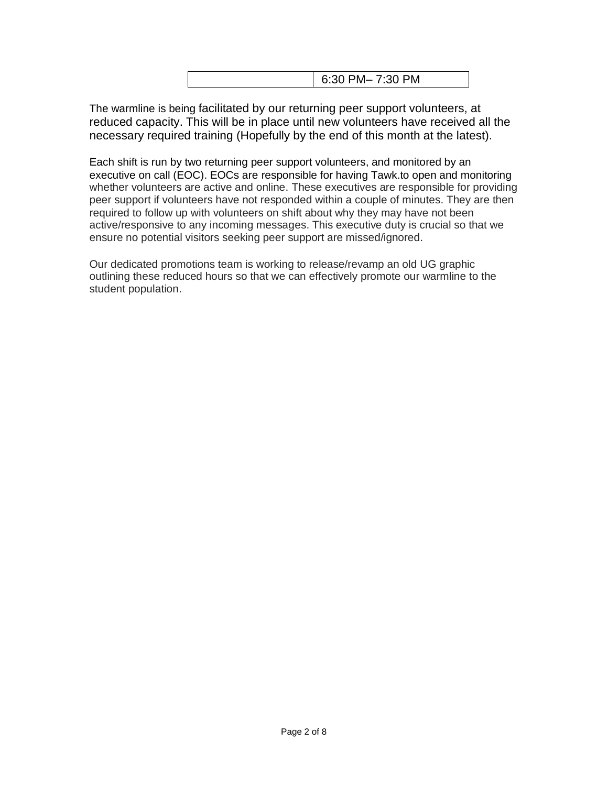|--|

The warmline is being facilitated by our returning peer support volunteers, at reduced capacity. This will be in place until new volunteers have received all the necessary required training (Hopefully by the end of this month at the latest).

Each shift is run by two returning peer support volunteers, and monitored by an executive on call (EOC). EOCs are responsible for having Tawk.to open and monitoring whether volunteers are active and online. These executives are responsible for providing peer support if volunteers have not responded within a couple of minutes. They are then required to follow up with volunteers on shift about why they may have not been active/responsive to any incoming messages. This executive duty is crucial so that we ensure no potential visitors seeking peer support are missed/ignored.

Our dedicated promotions team is working to release/revamp an old UG graphic outlining these reduced hours so that we can effectively promote our warmline to the student population.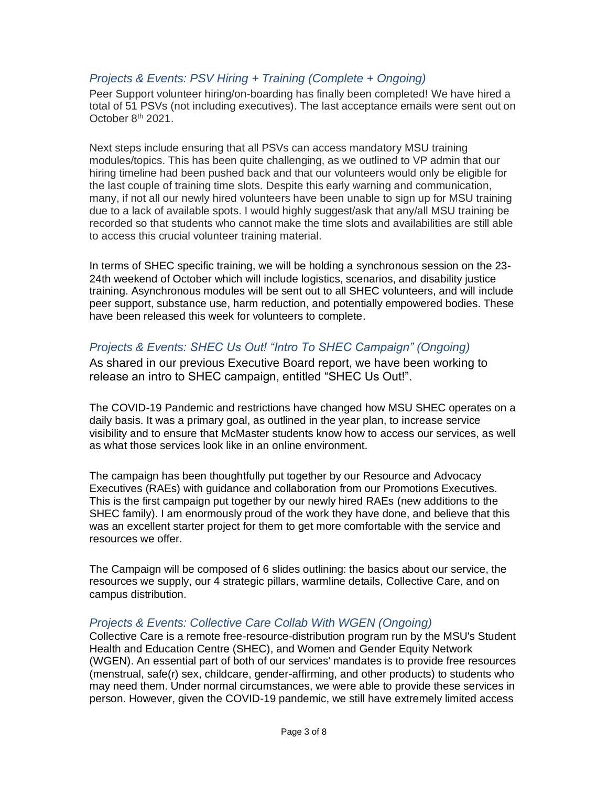## *Projects & Events: PSV Hiring + Training (Complete + Ongoing)*

Peer Support volunteer hiring/on-boarding has finally been completed! We have hired a total of 51 PSVs (not including executives). The last acceptance emails were sent out on October 8<sup>th</sup> 2021.

Next steps include ensuring that all PSVs can access mandatory MSU training modules/topics. This has been quite challenging, as we outlined to VP admin that our hiring timeline had been pushed back and that our volunteers would only be eligible for the last couple of training time slots. Despite this early warning and communication, many, if not all our newly hired volunteers have been unable to sign up for MSU training due to a lack of available spots. I would highly suggest/ask that any/all MSU training be recorded so that students who cannot make the time slots and availabilities are still able to access this crucial volunteer training material.

In terms of SHEC specific training, we will be holding a synchronous session on the 23- 24th weekend of October which will include logistics, scenarios, and disability justice training. Asynchronous modules will be sent out to all SHEC volunteers, and will include peer support, substance use, harm reduction, and potentially empowered bodies. These have been released this week for volunteers to complete.

## *Projects & Events: SHEC Us Out! "Intro To SHEC Campaign" (Ongoing)*

As shared in our previous Executive Board report, we have been working to release an intro to SHEC campaign, entitled "SHEC Us Out!".

The COVID-19 Pandemic and restrictions have changed how MSU SHEC operates on a daily basis. It was a primary goal, as outlined in the year plan, to increase service visibility and to ensure that McMaster students know how to access our services, as well as what those services look like in an online environment.

The campaign has been thoughtfully put together by our Resource and Advocacy Executives (RAEs) with guidance and collaboration from our Promotions Executives. This is the first campaign put together by our newly hired RAEs (new additions to the SHEC family). I am enormously proud of the work they have done, and believe that this was an excellent starter project for them to get more comfortable with the service and resources we offer.

The Campaign will be composed of 6 slides outlining: the basics about our service, the resources we supply, our 4 strategic pillars, warmline details, Collective Care, and on campus distribution.

#### *Projects & Events: Collective Care Collab With WGEN (Ongoing)*

Collective Care is a remote free-resource-distribution program run by the MSU's Student Health and Education Centre (SHEC), and Women and Gender Equity Network (WGEN). An essential part of both of our services' mandates is to provide free resources (menstrual, safe(r) sex, childcare, gender-affirming, and other products) to students who may need them. Under normal circumstances, we were able to provide these services in person. However, given the COVID-19 pandemic, we still have extremely limited access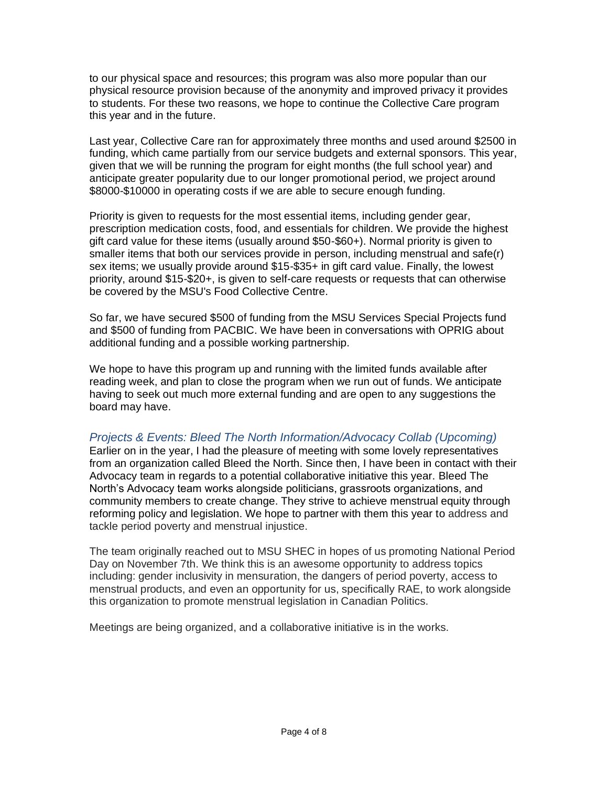to our physical space and resources; this program was also more popular than our physical resource provision because of the anonymity and improved privacy it provides to students. For these two reasons, we hope to continue the Collective Care program this year and in the future.

Last year, Collective Care ran for approximately three months and used around \$2500 in funding, which came partially from our service budgets and external sponsors. This year, given that we will be running the program for eight months (the full school year) and anticipate greater popularity due to our longer promotional period, we project around \$8000-\$10000 in operating costs if we are able to secure enough funding.

Priority is given to requests for the most essential items, including gender gear, prescription medication costs, food, and essentials for children. We provide the highest gift card value for these items (usually around \$50-\$60+). Normal priority is given to smaller items that both our services provide in person, including menstrual and safe(r) sex items; we usually provide around \$15-\$35+ in gift card value. Finally, the lowest priority, around \$15-\$20+, is given to self-care requests or requests that can otherwise be covered by the MSU's Food Collective Centre.

So far, we have secured \$500 of funding from the MSU Services Special Projects fund and \$500 of funding from PACBIC. We have been in conversations with OPRIG about additional funding and a possible working partnership.

We hope to have this program up and running with the limited funds available after reading week, and plan to close the program when we run out of funds. We anticipate having to seek out much more external funding and are open to any suggestions the board may have.

#### *Projects & Events: Bleed The North Information/Advocacy Collab (Upcoming)*

Earlier on in the year, I had the pleasure of meeting with some lovely representatives from an organization called Bleed the North. Since then, I have been in contact with their Advocacy team in regards to a potential collaborative initiative this year. Bleed The North's Advocacy team works alongside politicians, grassroots organizations, and community members to create change. They strive to achieve menstrual equity through reforming policy and legislation. We hope to partner with them this year to address and tackle period poverty and menstrual injustice.

The team originally reached out to MSU SHEC in hopes of us promoting National Period Day on November 7th. We think this is an awesome opportunity to address topics including: gender inclusivity in mensuration, the dangers of period poverty, access to menstrual products, and even an opportunity for us, specifically RAE, to work alongside this organization to promote menstrual legislation in Canadian Politics.

Meetings are being organized, and a collaborative initiative is in the works.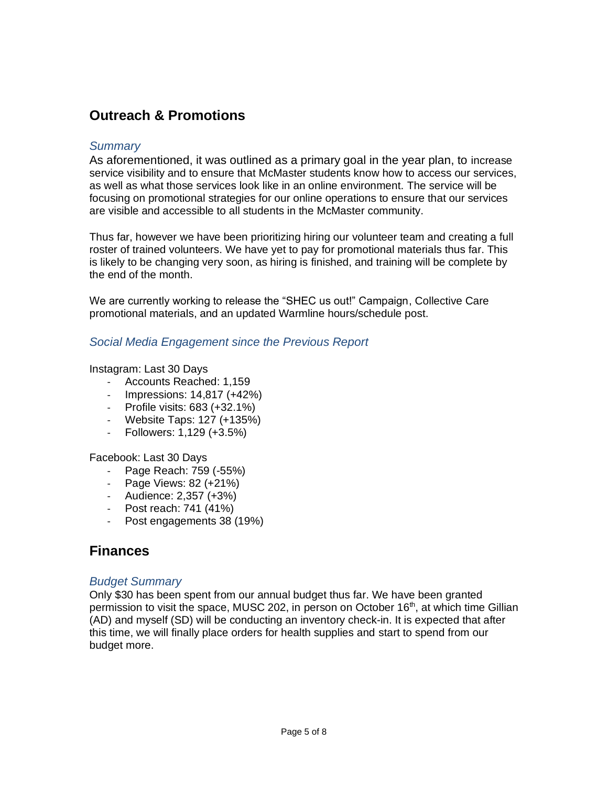# **Outreach & Promotions**

#### *Summary*

As aforementioned, it was outlined as a primary goal in the year plan, to increase service visibility and to ensure that McMaster students know how to access our services, as well as what those services look like in an online environment. The service will be focusing on promotional strategies for our online operations to ensure that our services are visible and accessible to all students in the McMaster community.

Thus far, however we have been prioritizing hiring our volunteer team and creating a full roster of trained volunteers. We have yet to pay for promotional materials thus far. This is likely to be changing very soon, as hiring is finished, and training will be complete by the end of the month.

We are currently working to release the "SHEC us out!" Campaign, Collective Care promotional materials, and an updated Warmline hours/schedule post.

#### *Social Media Engagement since the Previous Report*

#### Instagram: Last 30 Days

- Accounts Reached: 1,159
- Impressions: 14,817 (+42%)
- Profile visits: 683 (+32.1%)
- Website Taps: 127 (+135%)
- Followers: 1,129 (+3.5%)

Facebook: Last 30 Days

- Page Reach: 759 (-55%)
- Page Views: 82 (+21%)
- Audience: 2,357 (+3%)
- Post reach: 741 (41%)
- Post engagements 38 (19%)

# **Finances**

#### *Budget Summary*

Only \$30 has been spent from our annual budget thus far. We have been granted permission to visit the space, MUSC 202, in person on October 16<sup>th</sup>, at which time Gillian (AD) and myself (SD) will be conducting an inventory check-in. It is expected that after this time, we will finally place orders for health supplies and start to spend from our budget more.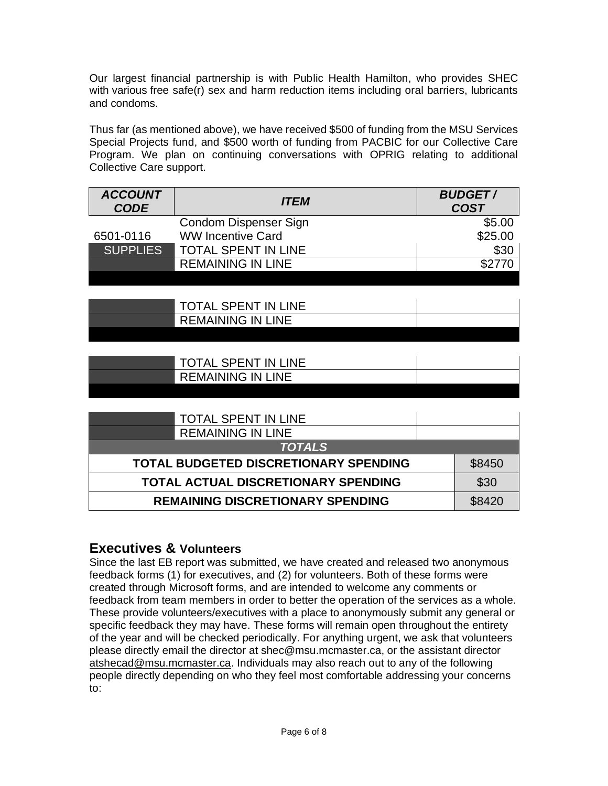Our largest financial partnership is with Public Health Hamilton, who provides SHEC with various free safe(r) sex and harm reduction items including oral barriers, lubricants and condoms.

Thus far (as mentioned above), we have received \$500 of funding from the MSU Services Special Projects fund, and \$500 worth of funding from PACBIC for our Collective Care Program. We plan on continuing conversations with OPRIG relating to additional Collective Care support.

| <b>ACCOUNT</b><br><b>CODE</b> | <b>ITEM</b>                | <b>BUDGET/</b><br><b>COST</b> |
|-------------------------------|----------------------------|-------------------------------|
|                               | Condom Dispenser Sign      | \$5.00                        |
| 6501-0116                     | <b>WW Incentive Card</b>   | \$25.00                       |
| <b>SUPPLIES</b>               | <b>TOTAL SPENT IN LINE</b> | \$30                          |
|                               | <b>REMAINING IN LINE</b>   |                               |

| <b>TOTAL SPENT IN LINE</b> |  |
|----------------------------|--|
| <b>REMAINING IN LINE</b>   |  |
|                            |  |

| <b>TOTAL SPENT IN LINE</b> |  |
|----------------------------|--|
| <b>REMAINING IN LINE</b>   |  |
|                            |  |

| <b>TOTAL SPENT IN LINE</b>                   |        |
|----------------------------------------------|--------|
| <b>REMAINING IN LINE</b>                     |        |
| <b>TOTALS</b>                                |        |
| <b>TOTAL BUDGETED DISCRETIONARY SPENDING</b> |        |
| TOTAL ACTUAL DISCRETIONARY SPENDING          | \$30   |
| <b>REMAINING DISCRETIONARY SPENDING</b>      | \$8420 |

# **Executives & Volunteers**

Since the last EB report was submitted, we have created and released two anonymous feedback forms (1) for executives, and (2) for volunteers. Both of these forms were created through Microsoft forms, and are intended to welcome any comments or feedback from team members in order to better the operation of the services as a whole. These provide volunteers/executives with a place to anonymously submit any general or specific feedback they may have. These forms will remain open throughout the entirety of the year and will be checked periodically. For anything urgent, we ask that volunteers please directly email the director at shec@msu.mcmaster.ca, or the assistant director [atshecad@msu.mcmaster.ca.](mailto:atshecad@msu.mcmaster.ca) Individuals may also reach out to any of the following people directly depending on who they feel most comfortable addressing your concerns to: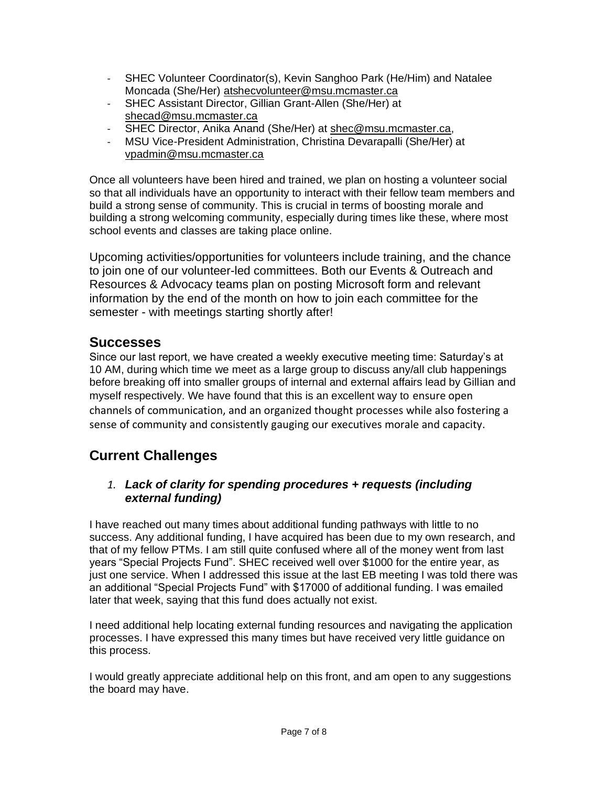- SHEC Volunteer Coordinator(s), Kevin Sanghoo Park (He/Him) and Natalee Moncada (She/Her) [atshecvolunteer@msu.mcmaster.ca](mailto:atshecvolunteer@msu.mcmaster.ca)
- SHEC Assistant Director, Gillian Grant-Allen (She/Her) at [shecad@msu.mcmaster.ca](mailto:shecad@msu.mcmaster.ca)
- SHEC Director, Anika Anand (She/Her) at [shec@msu.mcmaster.ca,](mailto:shec@msu.mcmaster.ca)
- MSU Vice-President Administration, Christina Devarapalli (She/Her) at [vpadmin@msu.mcmaster.ca](mailto:vpadmin@msu.mcmaster.ca)

Once all volunteers have been hired and trained, we plan on hosting a volunteer social so that all individuals have an opportunity to interact with their fellow team members and build a strong sense of community. This is crucial in terms of boosting morale and building a strong welcoming community, especially during times like these, where most school events and classes are taking place online.

Upcoming activities/opportunities for volunteers include training, and the chance to join one of our volunteer-led committees. Both our Events & Outreach and Resources & Advocacy teams plan on posting Microsoft form and relevant information by the end of the month on how to join each committee for the semester - with meetings starting shortly after!

# **Successes**

Since our last report, we have created a weekly executive meeting time: Saturday's at 10 AM, during which time we meet as a large group to discuss any/all club happenings before breaking off into smaller groups of internal and external affairs lead by Gillian and myself respectively. We have found that this is an excellent way to ensure open channels of communication, and an organized thought processes while also fostering a sense of community and consistently gauging our executives morale and capacity.

# **Current Challenges**

# *1. Lack of clarity for spending procedures + requests (including external funding)*

I have reached out many times about additional funding pathways with little to no success. Any additional funding, I have acquired has been due to my own research, and that of my fellow PTMs. I am still quite confused where all of the money went from last years "Special Projects Fund". SHEC received well over \$1000 for the entire year, as just one service. When I addressed this issue at the last EB meeting I was told there was an additional "Special Projects Fund" with \$17000 of additional funding. I was emailed later that week, saying that this fund does actually not exist.

I need additional help locating external funding resources and navigating the application processes. I have expressed this many times but have received very little guidance on this process.

I would greatly appreciate additional help on this front, and am open to any suggestions the board may have.